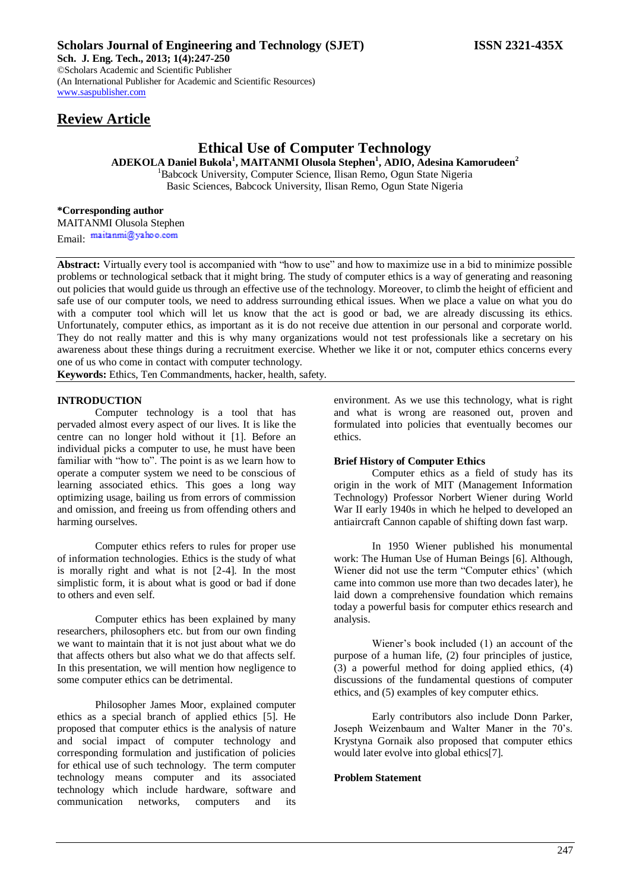# **Review Article**

## **Ethical Use of Computer Technology**

**ADEKOLA Daniel Bukola<sup>1</sup> , MAITANMI Olusola Stephen<sup>1</sup> , ADIO, Adesina Kamorudeen<sup>2</sup>** <sup>1</sup>Babcock University, Computer Science, Ilisan Remo, Ogun State Nigeria Basic Sciences, Babcock University, Ilisan Remo, Ogun State Nigeria

**\*Corresponding author** MAITANMI Olusola Stephen Email: maitanmi@yahoo.com

**Abstract:** Virtually every tool is accompanied with "how to use" and how to maximize use in a bid to minimize possible problems or technological setback that it might bring. The study of computer ethics is a way of generating and reasoning out policies that would guide us through an effective use of the technology. Moreover, to climb the height of efficient and safe use of our computer tools, we need to address surrounding ethical issues. When we place a value on what you do with a computer tool which will let us know that the act is good or bad, we are already discussing its ethics. Unfortunately, computer ethics, as important as it is do not receive due attention in our personal and corporate world. They do not really matter and this is why many organizations would not test professionals like a secretary on his awareness about these things during a recruitment exercise. Whether we like it or not, computer ethics concerns every one of us who come in contact with computer technology.

**Keywords:** Ethics, Ten Commandments, hacker, health, safety.

#### **INTRODUCTION**

Computer technology is a tool that has pervaded almost every aspect of our lives. It is like the centre can no longer hold without it [1]. Before an individual picks a computer to use, he must have been familiar with "how to". The point is as we learn how to operate a computer system we need to be conscious of learning associated ethics. This goes a long way optimizing usage, bailing us from errors of commission and omission, and freeing us from offending others and harming ourselves.

Computer ethics refers to rules for proper use of information technologies. Ethics is the study of what is morally right and what is not [2-4]. In the most simplistic form, it is about what is good or bad if done to others and even self.

Computer ethics has been explained by many researchers, philosophers etc. but from our own finding we want to maintain that it is not just about what we do that affects others but also what we do that affects self. In this presentation, we will mention how negligence to some computer ethics can be detrimental.

Philosopher James Moor, explained computer ethics as a special branch of applied ethics [5]. He proposed that computer ethics is the analysis of nature and social impact of computer technology and corresponding formulation and justification of policies for ethical use of such technology. The term computer technology means computer and its associated technology which include hardware, software and communication networks, computers and its

environment. As we use this technology, what is right and what is wrong are reasoned out, proven and formulated into policies that eventually becomes our ethics.

#### **Brief History of Computer Ethics**

Computer ethics as a field of study has its origin in the work of MIT (Management Information Technology) Professor Norbert Wiener during World War II early 1940s in which he helped to developed an antiaircraft Cannon capable of shifting down fast warp.

In 1950 Wiener published his monumental work: The Human Use of Human Beings [6]. Although, Wiener did not use the term "Computer ethics' (which came into common use more than two decades later), he laid down a comprehensive foundation which remains today a powerful basis for computer ethics research and analysis.

Wiener's book included (1) an account of the purpose of a human life, (2) four principles of justice, (3) a powerful method for doing applied ethics, (4) discussions of the fundamental questions of computer ethics, and (5) examples of key computer ethics.

Early contributors also include Donn Parker, Joseph Weizenbaum and Walter Maner in the 70's. Krystyna Gornaik also proposed that computer ethics would later evolve into global ethics[7].

## **Problem Statement**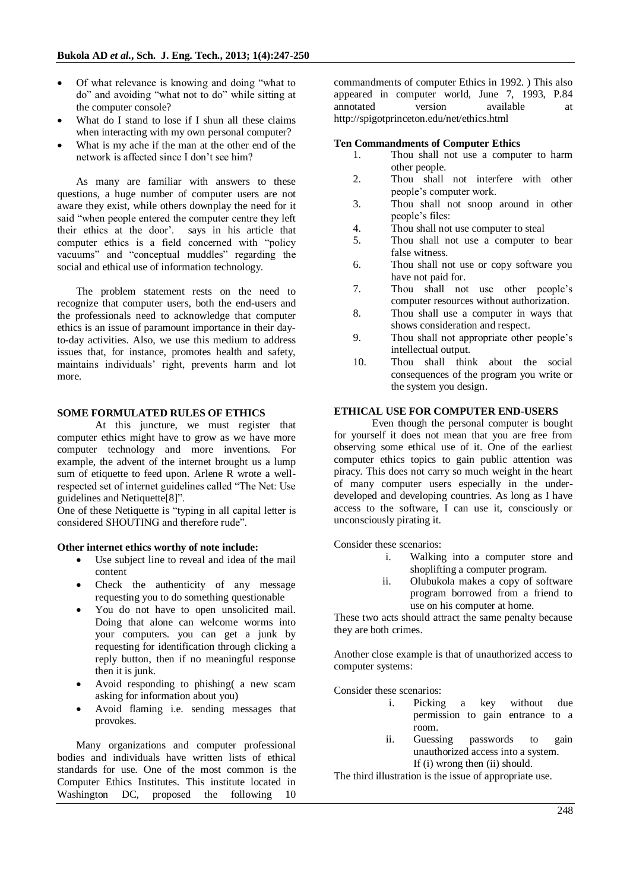- Of what relevance is knowing and doing "what to do" and avoiding "what not to do" while sitting at the computer console?
- What do I stand to lose if I shun all these claims when interacting with my own personal computer?
- What is my ache if the man at the other end of the network is affected since I don't see him?

As many are familiar with answers to these questions, a huge number of computer users are not aware they exist, while others downplay the need for it said "when people entered the computer centre they left their ethics at the door'. says in his article that computer ethics is a field concerned with "policy vacuums" and "conceptual muddles" regarding the social and ethical use of information technology.

The problem statement rests on the need to recognize that computer users, both the end-users and the professionals need to acknowledge that computer ethics is an issue of paramount importance in their dayto-day activities. Also, we use this medium to address issues that, for instance, promotes health and safety, maintains individuals' right, prevents harm and lot more.

#### **SOME FORMULATED RULES OF ETHICS**

At this juncture, we must register that computer ethics might have to grow as we have more computer technology and more inventions. For example, the advent of the internet brought us a lump sum of etiquette to feed upon. Arlene R wrote a wellrespected set of internet guidelines called "The Net: Use guidelines and Netiquette[8]".

One of these Netiquette is "typing in all capital letter is considered SHOUTING and therefore rude".

#### **Other internet ethics worthy of note include:**

- Use subject line to reveal and idea of the mail content
- Check the authenticity of any message requesting you to do something questionable
- You do not have to open unsolicited mail. Doing that alone can welcome worms into your computers. you can get a junk by requesting for identification through clicking a reply button, then if no meaningful response then it is junk.
- Avoid responding to phishing( a new scam asking for information about you)
- Avoid flaming i.e. sending messages that provokes.

Many organizations and computer professional bodies and individuals have written lists of ethical standards for use. One of the most common is the Computer Ethics Institutes. This institute located in Washington DC, proposed the following 10 commandments of computer Ethics in 1992. ) This also appeared in computer world, June 7, 1993, P.84 annotated version available at http://spigotprinceton.edu/net/ethics.html

#### **Ten Commandments of Computer Ethics**

- 1. Thou shall not use a computer to harm other people.
- 2. Thou shall not interfere with other people's computer work.
- 3. Thou shall not snoop around in other people's files:
- 4. Thou shall not use computer to steal
- 5. Thou shall not use a computer to bear false witness.
- 6. Thou shall not use or copy software you have not paid for.
- 7. Thou shall not use other people's computer resources without authorization.
- 8. Thou shall use a computer in ways that shows consideration and respect.
- 9. Thou shall not appropriate other people's intellectual output.
- 10. Thou shall think about the social consequences of the program you write or the system you design.

## **ETHICAL USE FOR COMPUTER END-USERS**

Even though the personal computer is bought for yourself it does not mean that you are free from observing some ethical use of it. One of the earliest computer ethics topics to gain public attention was piracy. This does not carry so much weight in the heart of many computer users especially in the underdeveloped and developing countries. As long as I have access to the software, I can use it, consciously or unconsciously pirating it.

Consider these scenarios:

- i. Walking into a computer store and shoplifting a computer program.
- ii. Olubukola makes a copy of software program borrowed from a friend to use on his computer at home.

These two acts should attract the same penalty because they are both crimes.

Another close example is that of unauthorized access to computer systems:

Consider these scenarios:

- i. Picking a key without due permission to gain entrance to a room.
- ii. Guessing passwords to gain unauthorized access into a system. If (i) wrong then (ii) should.

The third illustration is the issue of appropriate use.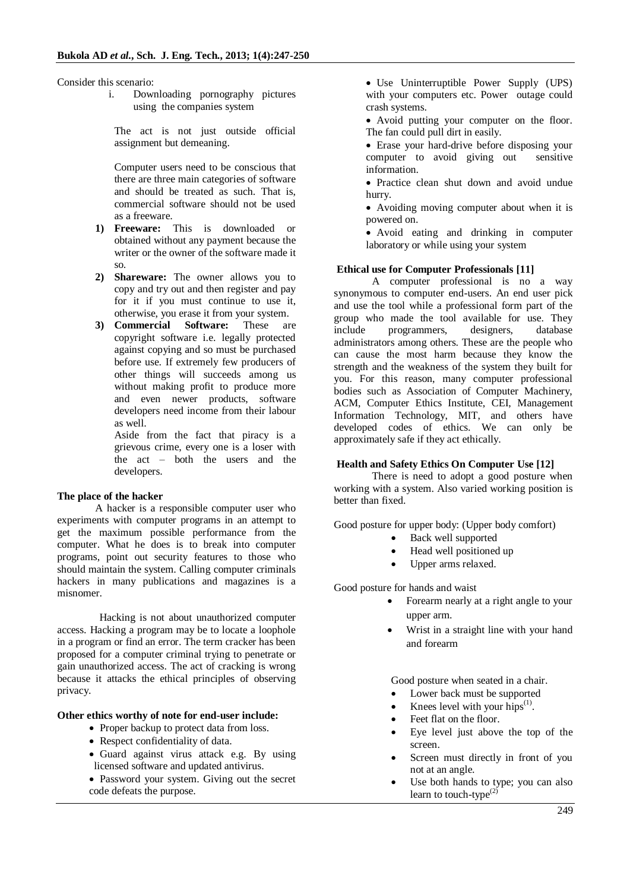Consider this scenario:

i. Downloading pornography pictures using the companies system

The act is not just outside official assignment but demeaning.

Computer users need to be conscious that there are three main categories of software and should be treated as such. That is, commercial software should not be used as a freeware.

- **1) Freeware:** This is downloaded or obtained without any payment because the writer or the owner of the software made it so.
- **2) Shareware:** The owner allows you to copy and try out and then register and pay for it if you must continue to use it, otherwise, you erase it from your system.
- **3) Commercial Software:** These are copyright software i.e. legally protected against copying and so must be purchased before use. If extremely few producers of other things will succeeds among us without making profit to produce more and even newer products, software developers need income from their labour as well.

Aside from the fact that piracy is a grievous crime, every one is a loser with the act – both the users and the developers.

## **The place of the hacker**

A hacker is a responsible computer user who experiments with computer programs in an attempt to get the maximum possible performance from the computer. What he does is to break into computer programs, point out security features to those who should maintain the system. Calling computer criminals hackers in many publications and magazines is a misnomer.

 Hacking is not about unauthorized computer access. Hacking a program may be to locate a loophole in a program or find an error. The term cracker has been proposed for a computer criminal trying to penetrate or gain unauthorized access. The act of cracking is wrong because it attacks the ethical principles of observing privacy.

## **Other ethics worthy of note for end-user include:**

- Proper backup to protect data from loss.
- Respect confidentiality of data.
- Guard against virus attack e.g. By using licensed software and updated antivirus.
- Password your system. Giving out the secret code defeats the purpose.

• Use Uninterruptible Power Supply (UPS) with your computers etc. Power outage could crash systems.

 Avoid putting your computer on the floor. The fan could pull dirt in easily.

• Erase your hard-drive before disposing your computer to avoid giving out sensitive information.

• Practice clean shut down and avoid undue hurry.

 Avoiding moving computer about when it is powered on.

 Avoid eating and drinking in computer laboratory or while using your system

#### **Ethical use for Computer Professionals [11]**

A computer professional is no a way synonymous to computer end-users. An end user pick and use the tool while a professional form part of the group who made the tool available for use. They include programmers, designers, database administrators among others. These are the people who can cause the most harm because they know the strength and the weakness of the system they built for you. For this reason, many computer professional bodies such as Association of Computer Machinery, ACM, Computer Ethics Institute, CEI, Management Information Technology, MIT, and others have developed codes of ethics. We can only be approximately safe if they act ethically.

#### **Health and Safety Ethics On Computer Use [12]**

There is need to adopt a good posture when working with a system. Also varied working position is better than fixed.

Good posture for upper body: (Upper body comfort)

- Back well supported
- Head well positioned up
- Upper arms relaxed.

Good posture for hands and waist

- Forearm nearly at a right angle to your upper arm.
- Wrist in a straight line with your hand and forearm

Good posture when seated in a chair.

- Lower back must be supported
- Knees level with your hips $^{(1)}$ .
- Feet flat on the floor.
- Eye level just above the top of the screen.
- Screen must directly in front of you not at an angle.
- Use both hands to type; you can also learn to touch-type $^{(2)}$